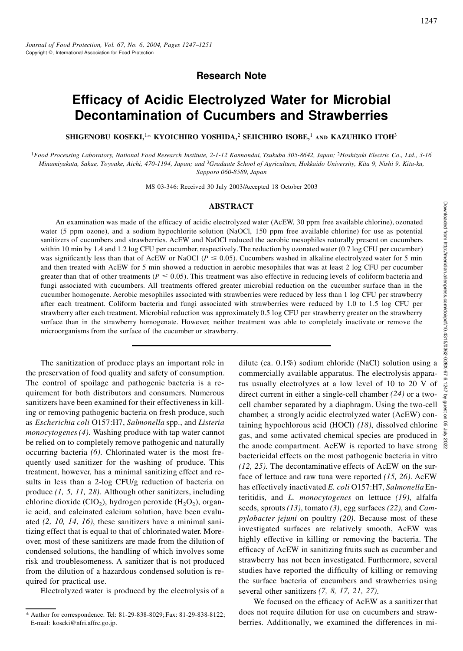# **Research Note**

# **Ef cacy of Acidic Electrolyzed Water for Microbial Decontamination of Cucumbers and Strawberries**

**SHIGENOBU KOSEKI,**1\* **KYOICHIRO YOSHIDA,**<sup>2</sup> **SEIICHIRO ISOBE,**<sup>1</sup> **AND KAZUHIKO ITOH**<sup>3</sup>

<sup>1</sup>Food Processing Laboratory, National Food Research Institute, 2-1-12 Kannondai, Tsukuba 305-8642, Japan; <sup>2</sup>Hoshizaki Electric Co., Ltd., 3-16 Minamiyakata, Sakae, Toyoake, Aichi, 470-1194, Japan; and <sup>3</sup>Graduate School of Agriculture, Hokkaido University, Kita 9, Nishi 9, Kita-ku, *Sapporo 060-8589, Japan*

MS 03-346: Received 30 July 2003/Accepted 18 October 2003

#### **ABSTRACT**

An examination was made of the efficacy of acidic electrolyzed water (AcEW, 30 ppm free available chlorine), ozonated water (5 ppm ozone), and a sodium hypochlorite solution (NaOCl, 150 ppm free available chlorine) for use as potential sanitizers of cucumbers and strawberries. AcEW and NaOCl reduced the aerobic mesophiles naturally present on cucumbers within 10 min by 1.4 and 1.2 log CFU per cucumber, respectively. The reduction by ozonated water (0.7 log CFU per cucumber) was significantly less than that of AcEW or NaOCl ( $P \le 0.05$ ). Cucumbers washed in alkaline electrolyzed water for 5 min and then treated with AcEW for 5 min showed a reduction in aerobic mesophiles that was at least 2 log CFU per cucumber greater than that of other treatments ( $P \le 0.05$ ). This treatment was also effective in reducing levels of coliform bacteria and fungi associated with cucumbers. All treatments offered greater microbial reduction on the cucumber surface than in the cucumber homogenate. Aerobic mesophiles associated with strawberries were reduced by less than 1 log CFU per strawberry after each treatment. Coliform bacteria and fungi associated with strawberries were reduced by 1.0 to 1.5 log CFU per strawberry after each treatment. Microbial reduction was approximately 0.5 log CFU per strawberry greater on the strawberry surface than in the strawberry homogenate. However, neither treatment was able to completely inactivate or remove the microorganisms from the surface of the cucumber or strawberry. **ACT**<br>
Example the available chlorine), ozonated<br>
OCl, 150 ppm free available chlorine) for use as potential<br>
uced the aerobic mesophiles naturally present on cucumbers<br>
The reduction by ozonated water (0.7 log CFU per cu

The sanitization of produce plays an important role in the preservation of food quality and safety of consumption. The control of spoilage and pathogenic bacteria is a requirement for both distributors and consumers. Numerous sanitizers have been examined for their effectiveness in killing or removing pathogenic bacteria on fresh produce, such as *Escherichia coli* O157:H7, *Salmonella* spp., and *Listeria monocytogenes(4)*. Washing produce with tap water cannot be relied on to completely remove pathogenic and naturally occurring bacteria *(6)*. Chlorinated water is the most frequently used sanitizer for the washing of produce. This treatment, however, has a minimal sanitizing effect and results in less than a 2-log CFU/g reduction of bacteria on produce *(1, 5, 11, 28)*. Although other sanitizers, including chlorine dioxide (ClO<sub>2</sub>), hydrogen peroxide (H<sub>2</sub>O<sub>2</sub>), organic acid, and calcinated calcium solution, have been evaluated *(2, 10, 14, 16)*, these sanitizers have a minimal sanitizing effect that is equal to that of chlorinated water. Moreover, most of these sanitizers are made from the dilution of condensed solutions, the handling of which involves some risk and troublesomeness. A sanitizer that is not produced from the dilution of a hazardous condensed solution is required for practical use.

Electrolyzed water is produced by the electrolysis of a

commercially available apparatus. The electrolysis apparatus usually electrolyzes at a low level of 10 to 20 V of direct current in either a single-cell chamber *(24)* or a twocell chamber separated by a diaphragm. Using the two-cell chamber, a strongly acidic electrolyzed water (AcEW) containing hypochlorous acid (HOCl) (18), dissolved chlorine  $\frac{5}{5}$ <br>gas, and some activated chemical species are produced in gas, and some activated chemical species are produced in the anode compartment. AcEW is reported to have strong  $\frac{8}{8}$ bactericidal effects on the most pathogenic bacteria in vitro *(12, 25)*. The decontaminative effects of AcEW on the surface of lettuce and raw tuna were reported *(15, 26)*. AcEW has effectively inactivated *E. coli* O157:H7, *Salmonella* Enteritidis, and *L. monocytogenes* on lettuce *(19)*, alfalfa seeds, sprouts *(13)*, tomato *(3)*, egg surfaces *(22)*, and *Campylobacter jejuni* on poultry *(20)*. Because most of these investigated surfaces are relatively smooth, AcEW was highly effective in killing or removing the bacteria. The efficacy of AcEW in sanitizing fruits such as cucumber and strawberry has not been investigated. Furthermore, several studies have reported the difficulty of killing or removing the surface bacteria of cucumbers and strawberries using several other sanitizers *(7, 8, 17, 21, 27)*.

We focused on the efficacy of AcEW as a sanitizer that does not require dilution for use on cucumbers and strawberries. Additionally, we examined the differences in mi-

<sup>\*</sup> Author for correspondence. Tel: 81-29-838-8029;Fax: 81-29-838-8122; E-mail: koseki@nfri.affrc.go.jp.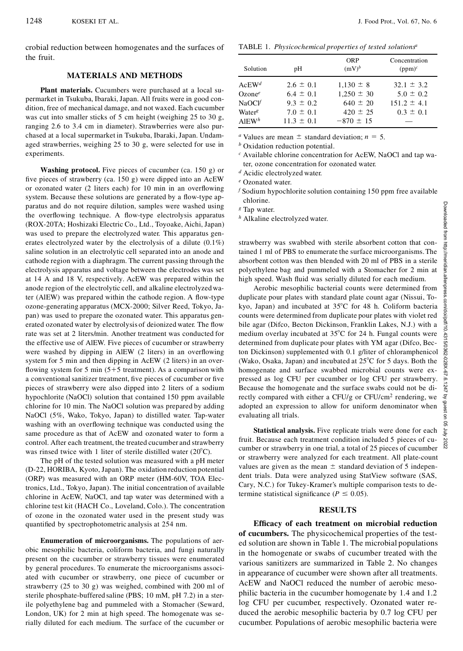crobial reduction between homogenates and the surfaces of the fruit.

#### **MATERIALS AND METHODS**

**Plant materials.** Cucumbers were purchased at a local su permarket in Tsukuba, Ibaraki, Japan. All fruits were in good con dition, free of mechanical damage, and not waxed. Each cucumber was cut into smaller sticks of 5 cm height (weighing 25 to 30 g, ranging 2.6 to 3.4 cm in diameter). Strawberries were also purchased at a local supermarket in Tsukuba, Ibaraki,Japan. Undamaged strawberries, weighing 25 to 30 g, were selected for use in experiments.

**Washing protocol.** Five pieces of cucumber (ca. 150 g) or five pieces of strawberry (ca.  $150$  g) were dipped into an AcEW or ozonated water (2 liters each) for 10 min in an overflowing system. Because these solutions are generated by a flow-type apparatus and do not require dilution, samples were washed using the overflowing technique. A flow-type electrolysis apparatus (ROX-20TA; Hoshizaki Electric Co., Ltd., Toyoake, Aichi, Japan) was used to prepare the electrolyzed water. This apparatus generates electrolyzed water by the electrolysis of a dilute (0.1%) saline solution in an electrolytic cell separated into an anode and cathode region with a diaphragm. The current passing through the electrolysis apparatus and voltage between the electrodes was set at 14 A and 18 V, respectively. AcEW was prepared within the anode region of the electrolytic cell, and alkaline electrolyzedwater (AlEW) was prepared within the cathode region. A flow-type ozone-generating apparatus (MCX-2000; Silver Reed, Tokyo, Japan) was used to prepare the ozonated water. This apparatus generated ozonated water by electrolysis of deionized water. The flow rate was set at 2 liters/min. Another treatment was conducted for the effective use of AlEW. Five pieces of cucumber or strawberry were washed by dipping in AlEW (2 liters) in an overflowing system for 5 min and then dipping in AcEW (2 liters) in an over flowing system for 5 min ( $5+5$  treatment). As a comparison with a conventional sanitizer treatment, five pieces of cucumber or five pieces of strawberry were also dipped into 2 liters of a sodium hypochlorite (NaOCl) solution that contained 150 ppm available chlorine for 10 min. The NaOCl solution was prepared by adding NaOCl (5%, Wako, Tokyo, Japan) to distilled water. Tap-water washing with an overflowing technique was conducted using the same procedure as that of AcEW and ozonated water to form a control. After each treatment, the treated cucumber and strawberry was rinsed twice with 1 liter of sterile distilled water  $(20^{\circ}C)$ .

The pH of the tested solution was measured with a pH meter (D-22, HORIBA, Kyoto, Japan). The oxidation reduction potential (ORP) was measured with an ORP meter (HM-60V, TOA Electronics, Ltd., Tokyo, Japan). The initial concentration of available chlorine in AcEW, NaOCl, and tap water was determined with a chlorine test kit (HACH Co., Loveland, Colo.). The concentration of ozone in the ozonated water used in the present study was quantified by spectrophotometric analysis at 254 nm.

**Enumeration of microorganisms.** The populations of aer obic mesophilic bacteria, coliform bacteria, and fungi naturally present on the cucumber or strawberry tissues were enumerated by general procedures. To enumerate the microorganisms associated with cucumber or strawberry, one piece of cucumber or strawberry (25 to 30 g) was weighed, combined with 200 ml of sterile phosphate-buffered saline (PBS; 10 mM, pH 7.2) in a sterile polyethylene bag and pummeled with a Stomacher (Seward, London, UK) for 2 min at high speed. The homogenate was serially diluted for each medium. The surface of the cucumber or

TABLE 1.*Physicochemical properties of tested solutions<sup>a</sup>*

| Solution           | pН             | <b>ORP</b><br>$(mV)^b$ | Concentration<br>$(ppm)^c$ |
|--------------------|----------------|------------------------|----------------------------|
| $AcEW^d$           | $2.6 \pm 0.1$  | $1.130 \pm 8$          | $32.1 \pm 3.2$             |
| Ozone <sup>e</sup> | $6.4 + 0.1$    | $1.250 \pm 30$         | $5.0 \pm 0.2$              |
| NaOCV              | $9.3 \pm 0.2$  | $640 \pm 20$           | $151.2 \pm 4.1$            |
| Water <sup>g</sup> | $7.0 \pm 0.1$  | $420 \pm 25$           | $0.3 \pm 0.1$              |
| AIEW <sup>h</sup>  | $11.3 \pm 0.1$ | $-870 \pm 15$          |                            |

*a* Values are mean  $\pm$  standard deviation; *n* = 5.

*<sup>b</sup>* Oxidation reduction potential.

*<sup>c</sup>* Available chlorine concentration for AcEW, NaOCl and tap water, ozone concentration for ozonated water.

*<sup>d</sup>* Acidic electrolyzed water.

*<sup>e</sup>* Ozonated water.

*<sup>f</sup>* Sodium hypochlorite solution containing 150 ppm free available chlorine.

*<sup>g</sup>* Tap water.

*<sup>h</sup>* Alkaline electrolyzed water.

strawberry was swabbed with sterile absorbent cotton that con*s* Tap water.<br> *A* Alkaline electrolyzed water.<br> *A* Alkaline electrolyzed water.<br> **A** Alkaline electrolyzed water.<br>
<br>
strawberry was swabbed with sterile absorbent cotton that con-<br>
tained 1 ml of PBS to enumerate the s absorbent cotton was then blended with 20 ml of PBS in a sterile polyethylene bag and pummeled with a Stomacher for 2 min at high speed. Wash fluid was serially diluted for each medium.

Aerobic mesophilic bacterial counts were determined from duplicate pour plates with standard plate count agar (Nissui, To kyo, Japan) and incubated at  $35^{\circ}$ C for 48 h. Coliform bacteria counts were determined from duplicate pour plates with violet red bile agar (Difco, Becton Dickinson, Franklin Lakes, N.J.) with a  $\frac{12}{3}$  medium overlay incubated at 35°C for 24 h. Fungal counts were  $\frac{12}{3}$ medium overlay incubated at  $35^{\circ}$ C for 24 h. Fungal counts were determined from duplicate pour plates with YM agar (Difco, Becdetermined from duplicate pour plates with YM agar (Difco, Bec-<br>ton Dickinson) supplemented with 0.1 g/liter of chloramphenicol (Wako, Osaka, Japan) and incubated at  $25^{\circ}$ C for 5 days. Both the  $\frac{69}{8}$  homogenate and surface swabbed microbial counts were exhomogenate and surface swabbed microbial counts were ex pressed as log CFU per cucumber or log CFU per strawberry. Because the homogenate and the surface swabs could not be directly compared with either a CFU/g or CFU/cm<sup>2</sup> rendering, we  $\sqrt{2}$ Because the homogenate and the surface swabs could not be directly compared with either a CFU/g or CFU/cm<sup>2</sup> rendering, we adopted an expression to allow for uniform denominator when  $\frac{6}{9}$ evaluating all trials.

**Statistical analysis.** Five replicate trials were done for each fruit. Because each treatment condition included 5 pieces of cu cumber or strawberry in one trial, a total of 25 pieces of cucumber or strawberry were analyzed for each treatment. All plate-count values are given as the mean  $\pm$  standard deviation of 5 independent trials. Data were analyzed using StatView software (SAS, Cary, N.C.) for Tukey-Kramer's multiple comparison tests to determine statistical significance ( $P \le 0.05$ ).

## **RESULTS**

**Ef cacy of each treatment on microbial reduction of cucumbers.** The physicochemical properties of the tested solution are shown in Table 1. The microbial populations in the homogenate or swabs of cucumber treated with the various sanitizers are summarized in Table 2. No changes in appearance of cucumber were shown after all treatments. AcEW and NaOCl reduced the number of aerobic mesophilic bacteria in the cucumber homogenate by 1.4 and 1.2 log CFU per cucumber, respectively. Ozonated water reduced the aerobic mesophilic bacteria by 0.7 log CFU per cucumber. Populations of aerobic mesophilic bacteria were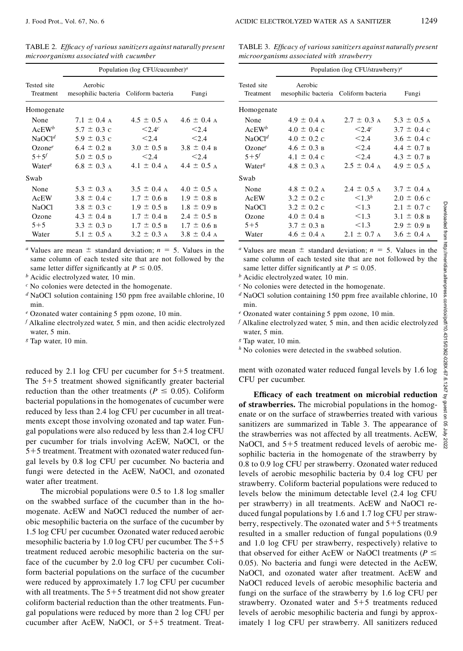TABLE 2. *Ef cacy of various sanitizers against naturally present microorganisms associated with cucumber*

|                          | Population (log CFU/cucumber) <sup><i>a</i></sup> |                         |                 |  |
|--------------------------|---------------------------------------------------|-------------------------|-----------------|--|
| Tested site<br>Treatment | Aerobic<br>mesophilic bacteria Coliform bacteria  |                         | Fungi           |  |
| Homogenate               |                                                   |                         |                 |  |
| None                     | $7.1 \pm 0.4$ A                                   | $4.5 \pm 0.5$ A         | $4.6 \pm 0.4$ A |  |
| $AcEW^b$                 | $5.7 \pm 0.3$ c                                   | $\leq 2.4c$             | < 2.4           |  |
| NaOCl <sup>d</sup>       | $5.9 \pm 0.3$ c                                   | < 2.4                   | < 2.4           |  |
| Ozone <sup>e</sup>       | $6.4 \pm 0.2$ B                                   | $3.0 \pm 0.5$ B         | $3.8 \pm 0.4$ B |  |
| $5+5^{f}$                | $5.0 \pm 0.5$ D                                   | < 2.4                   | < 2.4           |  |
| Water <sup>g</sup>       | $6.8 \pm 0.3$ A                                   | $4.1 \pm 0.4$ A         | $4.4 \pm 0.5$ A |  |
| Swab                     |                                                   |                         |                 |  |
| None                     | $5.3 \pm 0.3$ A                                   | $3.5 \pm 0.4$ A         | $4.0 \pm 0.5$ A |  |
| AcEW                     | $3.8 \pm 0.4 \text{ c}$                           | $1.7 \pm 0.6$ B         | $1.9 \pm 0.8$ B |  |
| <b>NaOCI</b>             | $3.8 \pm 0.3$ C                                   | $1.9 \pm 0.5$ B         | $1.8 \pm 0.9$ B |  |
| Ozone                    | $4.3 \pm 0.4$ B                                   | $1.7 \pm 0.4 \text{ B}$ | $2.4 \pm 0.5$ B |  |
| $5 + 5$                  | $3.3 \pm 0.3$ D                                   | $1.7 \pm 0.5$ B         | $1.7 \pm 0.6$ B |  |
| Water                    | 5.1 $\pm$ 0.5 A                                   | $3.2 \pm 0.3$ A         | $3.8 \pm 0.4$ A |  |

<sup>*a*</sup> Values are mean  $\pm$  standard deviation;  $n = 5$ . Values in the same column of each tested site that are not followed by the same letter differ significantly at  $P \le 0.05$ .

*<sup>b</sup>* Acidic electrolyzed water, 10 min.

*<sup>c</sup>* No colonies were detected in the homogenate.

*<sup>d</sup>* NaOCl solution containing 150 ppm free available chlorine, 10 min.

*<sup>e</sup>* Ozonated water containing 5 ppm ozone, 10 min.

*<sup>f</sup>* Alkaline electrolyzed water, 5 min, and then acidic electrolyzed water, 5 min.

*<sup>g</sup>* Tap water, 10 min.

reduced by 2.1 log CFU per cucumber for  $5+5$  treatment. The  $5+5$  treatment showed significantly greater bacterial reduction than the other treatments ( $P \leq 0.05$ ). Coliform bacterial populations in the homogenates of cucumber were reduced by less than 2.4 log CFU per cucumber in all treatments except those involving ozonated and tap water. Fungal populations were also reduced by less than 2.4 log CFU per cucumber for trials involving AcEW, NaOCl, or the  $5+5$  treatment. Treatment with ozonated water reduced fungal levels by 0.8 log CFU per cucumber. No bacteria and fungi were detected in the AcEW, NaOCl, and ozonated water after treatment.

The microbial populations were 0.5 to 1.8 log smaller on the swabbed surface of the cucumber than in the homogenate. AcEW and NaOCl reduced the number of aerobic mesophilic bacteria on the surface of the cucumber by 1.5 log CFU per cucumber. Ozonated water reduced aerobic mesophilic bacteria by 1.0 log CFU per cucumber. The  $5+5$ treatment reduced aerobic mesophilic bacteria on the surface of the cucumber by 2.0 log CFU per cucumber. Coliform bacterial populations on the surface of the cucumber were reduced by approximately 1.7 log CFU per cucumber with all treatments. The  $5+5$  treatment did not show greater coliform bacterial reduction than the other treatments. Fungal populations were reduced by more than 2 log CFU per cucumber after AcEW, NaOCl, or  $5+5$  treatment. TreatTABLE 3. *Ef cacy of various sanitizers against naturally present microorganisms associated with strawberry*

|                                                                                                                                                                                                                                                                                                                                                                                                                                                                                                                                                                                                                 | Population (log CFU/strawberry) <sup>a</sup>              |                   |                         |  |  |
|-----------------------------------------------------------------------------------------------------------------------------------------------------------------------------------------------------------------------------------------------------------------------------------------------------------------------------------------------------------------------------------------------------------------------------------------------------------------------------------------------------------------------------------------------------------------------------------------------------------------|-----------------------------------------------------------|-------------------|-------------------------|--|--|
| Tested site<br>Treatment                                                                                                                                                                                                                                                                                                                                                                                                                                                                                                                                                                                        | Aerobic<br>mesophilic bacteria                            | Coliform bacteria | Fungi                   |  |  |
| Homogenate                                                                                                                                                                                                                                                                                                                                                                                                                                                                                                                                                                                                      |                                                           |                   |                         |  |  |
| None                                                                                                                                                                                                                                                                                                                                                                                                                                                                                                                                                                                                            | $4.9 \pm 0.4$ A                                           | $2.7 \pm 0.3$ A   | $5.3 \pm 0.5$ A         |  |  |
| $AcEW^b$                                                                                                                                                                                                                                                                                                                                                                                                                                                                                                                                                                                                        | $4.0 \pm 0.4$ c                                           | < 2.4c            | $3.7 \pm 0.4$ C         |  |  |
| NaOCl <sup>d</sup>                                                                                                                                                                                                                                                                                                                                                                                                                                                                                                                                                                                              | $4.0 \pm 0.2$ c                                           | < 2.4             | $3.6 \pm 0.4 \text{ c}$ |  |  |
| $Ozone^e$                                                                                                                                                                                                                                                                                                                                                                                                                                                                                                                                                                                                       | $4.6 \pm 0.3 \text{ B}$                                   | < 2.4             | $4.4 \pm 0.7$ B         |  |  |
| $5 + 5^f$                                                                                                                                                                                                                                                                                                                                                                                                                                                                                                                                                                                                       | $4.1 \pm 0.4 \text{ c}$                                   | < 2.4             | $4.3 \pm 0.7$ B         |  |  |
| Water <sup>8</sup>                                                                                                                                                                                                                                                                                                                                                                                                                                                                                                                                                                                              | $4.8 \pm 0.3$ A                                           | $2.5 \pm 0.4$ A   | $4.9 \pm 0.5$ A         |  |  |
| Swab                                                                                                                                                                                                                                                                                                                                                                                                                                                                                                                                                                                                            |                                                           |                   |                         |  |  |
| None                                                                                                                                                                                                                                                                                                                                                                                                                                                                                                                                                                                                            | $4.8 \pm 0.2$ A                                           | $2.4 \pm 0.5$ A   | $3.7 \pm 0.4$ A         |  |  |
| <b>AcEW</b>                                                                                                                                                                                                                                                                                                                                                                                                                                                                                                                                                                                                     | $3.2 \pm 0.2$ c                                           | $\leq 1.3^h$      | $2.0 \pm 0.6$ c         |  |  |
| <b>NaOCl</b>                                                                                                                                                                                                                                                                                                                                                                                                                                                                                                                                                                                                    | $3.2 \pm 0.2$ c                                           | < 1.3             | $2.1 \pm 0.7$ c         |  |  |
| Ozone                                                                                                                                                                                                                                                                                                                                                                                                                                                                                                                                                                                                           | $4.0 \pm 0.4$ B                                           | < 1.3             | $3.1 \pm 0.8$ B         |  |  |
| $5 + 5$                                                                                                                                                                                                                                                                                                                                                                                                                                                                                                                                                                                                         | $3.7 \pm 0.3$ B                                           | < 1.3             | $2.9 \pm 0.9$ B         |  |  |
| Water                                                                                                                                                                                                                                                                                                                                                                                                                                                                                                                                                                                                           | $4.6 \pm 0.4$ A                                           | $2.1 \pm 0.7$ A   | $3.6 \pm 0.4$ A         |  |  |
| " Values are mean $\pm$ standard deviation; $n = 5$ . Values in the<br>same column of each tested site that are not followed by the<br>same letter differ significantly at $P \le 0.05$ .<br>$b$ Acidic electrolyzed water, 10 min.<br>$c$ No colonies were detected in the homogenate.<br>$d$ NaOCl solution containing 150 ppm free available chlorine, 10<br>min.<br>e Ozonated water containing 5 ppm ozone, 10 min.<br>$f$ Alkaline electrolyzed water, 5 min, and then acidic electrolyzed<br>water, 5 min.<br><sup>8</sup> Tap water, 10 min.<br>$hh$ No colonies were detected in the swabbed solution. |                                                           |                   |                         |  |  |
| CFU per cucumber.                                                                                                                                                                                                                                                                                                                                                                                                                                                                                                                                                                                               | ment with ozonated water reduced fungal levels by 1.6 log |                   |                         |  |  |
| Efficacy of each treatment on microbial reduction                                                                                                                                                                                                                                                                                                                                                                                                                                                                                                                                                               |                                                           |                   |                         |  |  |
| of strawberries. The microbial populations in the homog-                                                                                                                                                                                                                                                                                                                                                                                                                                                                                                                                                        |                                                           |                   |                         |  |  |

**Ef cacy of each treatment on microbial reduction of strawberries.** The microbial populations in the homogenate or on the surface of strawberries treated with various sanitizers are summarized in Table 3. The appearance of  $\approx$ the strawberries was not affected by all treatments. AcEW, NaOCl, and  $5+5$  treatment reduced levels of aerobic mesophilic bacteria in the homogenate of the strawberry by 0.8 to 0.9 log CFU per strawberry. Ozonated water reduced levels of aerobic mesophilic bacteria by 0.4 log CFU per strawberry. Coliform bacterial populations were reduced to levels below the minimum detectable level (2.4 log CFU per strawberry) in all treatments. AcEW and NaOCl reduced fungal populations by 1.6 and 1.7 log CFU per strawberry, respectively. The ozonated water and  $5+5$  treatments resulted in a smaller reduction of fungal populations (0.9 and 1.0 log CFU per strawberry, respectively) relative to that observed for either AcEW or NaOCl treatments ( $P \leq$ 0.05). No bacteria and fungi were detected in the AcEW, NaOCl, and ozonated water after treatment. AcEW and NaOCl reduced levels of aerobic mesophilic bacteria and fungi on the surface of the strawberry by 1.6 log CFU per strawberry. Ozonated water and  $5+5$  treatments reduced levels of aerobic mesophilic bacteria and fungi by approximately 1 log CFU per strawberry. All sanitizers reduced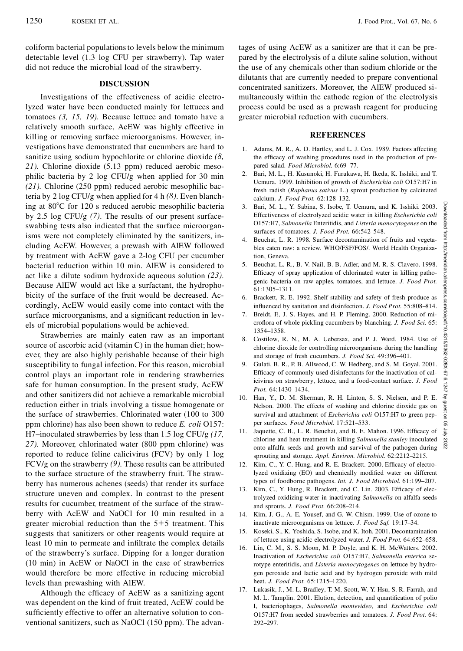coliform bacterial populationsto levels below the minimum detectable level (1.3 log CFU per strawberry). Tap water did not reduce the microbial load of the strawberry.

#### **DISCUSSION**

Investigations of the effectiveness of acidic electrolyzed water have been conducted mainly for lettuces and tomatoes *(3, 15, 19)*. Because lettuce and tomato have a relatively smooth surface, AcEW was highly effective in killing or removing surface microorganisms. However, investigations have demonstrated that cucumbers are hard to sanitize using sodium hypochlorite or chlorine dioxide *(8, 21)*. Chlorine dioxide (5.13 ppm) reduced aerobic mesophilic bacteria by 2 log CFU/g when applied for 30 min *(21)*. Chlorine (250 ppm) reduced aerobic mesophilic bacteria by 2 log CFU/g when applied for 4 h *(8)*. Even blanching at  $80^{\circ}$ C for 120 s reduced aerobic mesophilic bacteria by 2.5 log CFU/g *(7)*. The results of our present surfaceswabbing tests also indicated that the surface microorganisms were not completely eliminated by the sanitizers, including AcEW. However, a prewash with AlEW followed by treatment with AcEW gave a 2-log CFU per cucumber bacterial reduction within 10 min. AlEW is considered to act like a dilute sodium hydroxide aqueous solution *(23)*. Because AlEW would act like a surfactant, the hydrophobicity of the surface of the fruit would be decreased. Accordingly, AcEW would easily come into contact with the surface microorganisms, and a significant reduction in levels of microbial populations would be achieved.

Strawberries are mainly eaten raw as an important source of ascorbic acid (vitamin C) in the human diet; however, they are also highly perishable because of their high susceptibility to fungal infection. For this reason, microbial control plays an important role in rendering strawberries safe for human consumption. In the present study, AcEW and other sanitizers did not achieve a remarkable microbial reduction either in trials involving a tissue homogenate or the surface of strawberries. Chlorinated water (100 to 300 ppm chlorine) has also been shown to reduce *E. coli* O157: H7–inoculated strawberries by less than 1.5 log CFU/g *(17, 27)*. Moreover, chlorinated water (800 ppm chlorine) was reported to reduce feline calicivirus (FCV) by only 1 log FCV/g on the strawberry *(9)*. These results can be attributed to the surface structure of the strawberry fruit. The strawberry has numerous achenes (seeds) that render its surface structure uneven and complex. In contrast to the present results for cucumber, treatment of the surface of the strawberry with AcEW and NaOCl for 10 min resulted in a greater microbial reduction than the  $5+5$  treatment. This suggests that sanitizers or other reagents would require at least 10 min to permeate and infiltrate the complex details of the strawberry's surface. Dipping for a longer duration (10 min) in AcEW or NaOCl in the case of strawberries would therefore be more effective in reducing microbial levels than prewashing with AlEW.

Although the efficacy of AcEW as a sanitizing agent was dependent on the kind of fruit treated, AcEW could be sufficiently effective to offer an alternative solution to conventional sanitizers, such as NaOCl (150 ppm). The advantages of using AcEW as a sanitizer are that it can be prepared by the electrolysis of a dilute saline solution, without the use of any chemicals other than sodium chloride or the dilutants that are currently needed to prepare conventional concentrated sanitizers. Moreover, the AlEW produced simultaneously within the cathode region of the electrolysis process could be used as a prewash reagent for producing greater microbial reduction with cucumbers.

## **REFERENCES**

- 1. Adams, M. R., A. D. Hartley, and L. J. Cox. 1989. Factors affecting the efficacy of washing procedures used in the production of prepared salad. *Food Microbiol.* 6:69–77.
- 2. Bari, M. L., H. Kusunoki, H. Furukawa, H. Ikeda, K. Isshiki, and T. Uemura. 1999. Inhibition of growth of *Escherichia coli* O157:H7 in fresh radish (*Raphanus sativus* L.) sprout production by calcinated calcium. *J. Food Prot.* 62:128–132.
- 3. Bari, M. L., Y. Sabina, S. Isobe, T. Uemura, and K. Isshiki. 2003. Effectiveness of electrolyzed acidic water in killing *Escherichia coli* Bari, M. L., Y. Sabina, S. Isobe, T. Uemura, and K. Isshiki. 2003. Effectiveness of electrolyzed acidic water in killing *Escherichia coli* and O157:H7, *Salmonella* Enteritidis, and *Listeria monocytogenes* on the surfaces of tomatoes. *J. Food Prot.* 66:542–548.
- 4. Beuchat, L. R. 1998. Surface decontamination of fruits and vegetables eaten raw: a review. WHO/FSF/FOS/. World Health Organization, Geneva.
- Efficacy of spray application of chlorinated water in killing pathogenic bacteria on raw apples, tomatoes, and lettuce. *J. Food Prot.* 61:1305–1311.
- 6. Brackett, R. E. 1992. Shelf stability and safety of fresh produce as influenced by sanitation and disinfection. *J. Food Prot.* 55:808-814.
- Breidt, F., J. S. Hayes, and H. P. Fleming. 2000. Reduction of microflora of whole pickling cucumbers by blanching. *J. Food Sci.* 65: 1354–1358.
- 8. Costilow, R. N., M. A. Uebersax, and P. J. Ward. 1984. Use of chlorine dioxide for controlling microorganisms during the handling and storage of fresh cucumbers. *J. Food Sci.* 49:396–401.
- surates or tomatoes. *J. Food Prot.* 66:34-2–346.<br>
4. Beuchat, L. R. 1998. Surface decontamination of fruits and vegeta-<br>
bles eaten raw: a review. WHO/FSF/FOS/. World Health Organiza-<br>
fon, Geneva.<br>
5. Beuchat, L. R., B. 9. Gulati, B. R., P. B. Allwood, C. W. Hedberg, and S. M. Goyal. 2001. Efficacy of commonly used disinfectants for the inactivation of calicivirus on strawberry, lettuce, and a food-contact surface. *J. Food Prot.* 64:1430–1434.
- 10. Han, Y., D. M. Sherman, R. H. Linton, S. S. Nielsen, and P. E. Nelson. 2000. The effects of washing and chlorine dioxide gas on survival and attachment of *Escherichia coli* O157:H7 to green pepper surfaces. *Food Microbiol.* 17:521–533.
- 11. Jaquette, C. B., L. R. Beuchat, and B. E. Mahon. 1996. Efficacy of  $\frac{1}{5}$ chlorine and heat treatment in killing *Salmonella stanley* inoculated onto alfalfa seeds and growth and survival of the pathogen during sprouting and storage. *Appl. Environ. Microbiol.* 62:2212–2215.
- 12. Kim, C., Y. C. Hung, and R. E. Brackett. 2000. Efficacy of electrolyzed oxidizing (EO) and chemically modified water on different types of foodborne pathogens. *Int. J. Food Microbiol.* 61:199–207.
- 13. Kim, C., Y. Hung, R. Brackett, and C. Lin. 2003. Efficacy of electrolyzed oxidizing water in inactivating *Salmonella* on alfalfa seeds and sprouts. *J. Food Prot.* 66:208–214.
- 14. Kim, J. G., A. E. Yousef, and G. W. Chism. 1999. Use of ozone to inactivate microorganisms on lettuce. *J. Food Saf.* 19:17–34.
- 15. Koseki, S., K. Yoshida, S. Isobe, and K. Itoh. 2001. Decontamination of lettuce using acidic electrolyzed water. *J. Food Prot.* 64:652–658.
- 16. Lin, C. M., S. S. Moon, M. P. Doyle, and K. H. McWatters. 2002. Inactivation of *Escherichia coli* O157:H7, *Salmonella enterica* serotype enteritidis, and *Listeria monocytogenes* on lettuce by hydrogen peroxide and lactic acid and by hydrogen peroxide with mild heat. *J. Food Prot.* 65:1215–1220.
- 17. Lukasik, J., M. L. Bradley, T. M. Scott, W. Y. Hsu, S. R. Farrah, and M. L. Tamplin. 2001. Elution, detection, and quantification of polio I, bacteriophages, *Salmonella montevideo,* and *Escherichia coli* O157:H7 from seeded strawberries and tomatoes. *J. Food Prot.* 64: 292–297.